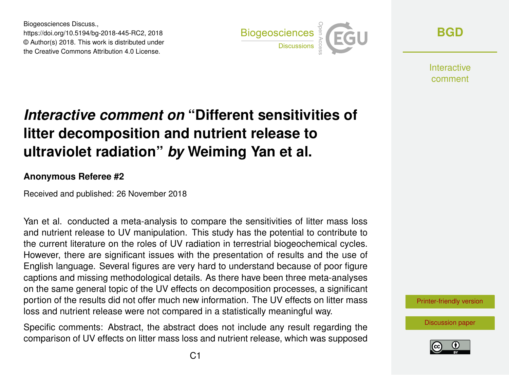Biogeosciences Discuss., https://doi.org/10.5194/bg-2018-445-RC2, 2018 © Author(s) 2018. This work is distributed under the Creative Commons Attribution 4.0 License.



**[BGD](https://www.biogeosciences-discuss.net/)**

**Interactive** comment

## *Interactive comment on* **"Different sensitivities of litter decomposition and nutrient release to ultraviolet radiation"** *by* **Weiming Yan et al.**

## **Anonymous Referee #2**

Received and published: 26 November 2018

Yan et al. conducted a meta-analysis to compare the sensitivities of litter mass loss and nutrient release to UV manipulation. This study has the potential to contribute to the current literature on the roles of UV radiation in terrestrial biogeochemical cycles. However, there are significant issues with the presentation of results and the use of English language. Several figures are very hard to understand because of poor figure captions and missing methodological details. As there have been three meta-analyses on the same general topic of the UV effects on decomposition processes, a significant portion of the results did not offer much new information. The UV effects on litter mass loss and nutrient release were not compared in a statistically meaningful way.

Specific comments: Abstract, the abstract does not include any result regarding the comparison of UV effects on litter mass loss and nutrient release, which was supposed



[Discussion paper](https://www.biogeosciences-discuss.net/bg-2018-445)

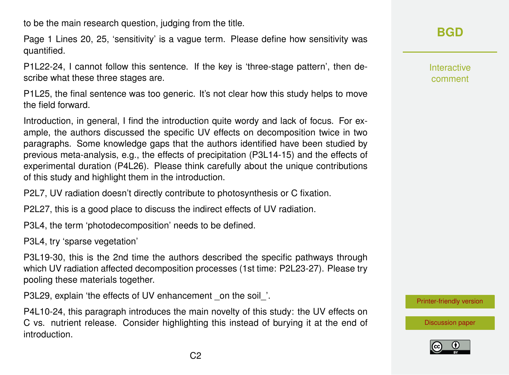to be the main research question, judging from the title.

Page 1 Lines 20, 25, 'sensitivity' is a vague term. Please define how sensitivity was quantified.

P1L22-24, I cannot follow this sentence. If the key is 'three-stage pattern', then describe what these three stages are.

P1L25, the final sentence was too generic. It's not clear how this study helps to move the field forward.

Introduction, in general, I find the introduction quite wordy and lack of focus. For example, the authors discussed the specific UV effects on decomposition twice in two paragraphs. Some knowledge gaps that the authors identified have been studied by previous meta-analysis, e.g., the effects of precipitation (P3L14-15) and the effects of experimental duration (P4L26). Please think carefully about the unique contributions of this study and highlight them in the introduction.

P2L7, UV radiation doesn't directly contribute to photosynthesis or C fixation.

P2L27, this is a good place to discuss the indirect effects of UV radiation.

P3L4, the term 'photodecomposition' needs to be defined.

P3L4, try 'sparse vegetation'

P3L19-30, this is the 2nd time the authors described the specific pathways through which UV radiation affected decomposition processes (1st time: P2L23-27). Please try pooling these materials together.

P3L29, explain 'the effects of UV enhancement on the soil'.

P4L10-24, this paragraph introduces the main novelty of this study: the UV effects on C vs. nutrient release. Consider highlighting this instead of burying it at the end of introduction.

**[BGD](https://www.biogeosciences-discuss.net/)**

Interactive comment

[Printer-friendly version](https://www.biogeosciences-discuss.net/bg-2018-445/bg-2018-445-RC2-print.pdf)

[Discussion paper](https://www.biogeosciences-discuss.net/bg-2018-445)

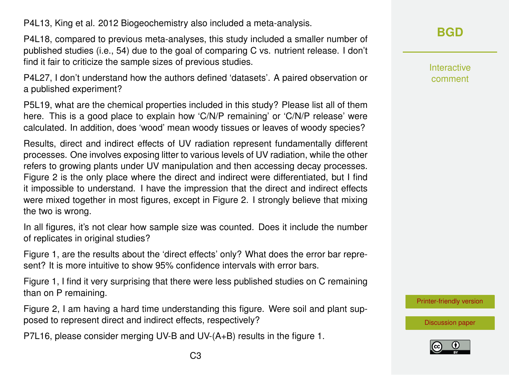P4L13, King et al. 2012 Biogeochemistry also included a meta-analysis.

P4L18, compared to previous meta-analyses, this study included a smaller number of published studies (i.e., 54) due to the goal of comparing C vs. nutrient release. I don't find it fair to criticize the sample sizes of previous studies.

P4L27, I don't understand how the authors defined 'datasets'. A paired observation or a published experiment?

P5L19, what are the chemical properties included in this study? Please list all of them here. This is a good place to explain how 'C/N/P remaining' or 'C/N/P release' were calculated. In addition, does 'wood' mean woody tissues or leaves of woody species?

Results, direct and indirect effects of UV radiation represent fundamentally different processes. One involves exposing litter to various levels of UV radiation, while the other refers to growing plants under UV manipulation and then accessing decay processes. Figure 2 is the only place where the direct and indirect were differentiated, but I find it impossible to understand. I have the impression that the direct and indirect effects were mixed together in most figures, except in Figure 2. I strongly believe that mixing the two is wrong.

In all figures, it's not clear how sample size was counted. Does it include the number of replicates in original studies?

Figure 1, are the results about the 'direct effects' only? What does the error bar represent? It is more intuitive to show 95% confidence intervals with error bars.

Figure 1, I find it very surprising that there were less published studies on C remaining than on P remaining.

Figure 2, I am having a hard time understanding this figure. Were soil and plant supposed to represent direct and indirect effects, respectively?

P7L16, please consider merging UV-B and UV-(A+B) results in the figure 1.

Interactive comment

[Printer-friendly version](https://www.biogeosciences-discuss.net/bg-2018-445/bg-2018-445-RC2-print.pdf)